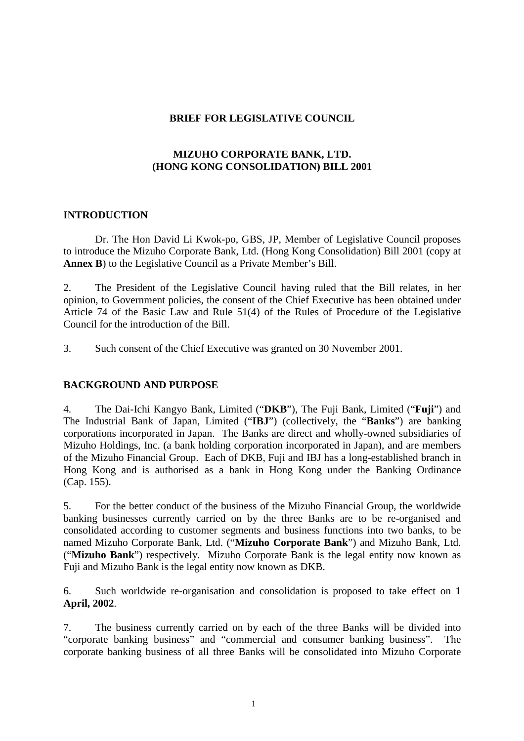# **BRIEF FOR LEGISLATIVE COUNCIL**

# **MIZUHO CORPORATE BANK, LTD. (HONG KONG CONSOLIDATION) BILL 2001**

# **INTRODUCTION**

Dr. The Hon David Li Kwok-po, GBS, JP, Member of Legislative Council proposes to introduce the Mizuho Corporate Bank, Ltd. (Hong Kong Consolidation) Bill 2001 (copy at **Annex B**) to the Legislative Council as a Private Member's Bill.

2. The President of the Legislative Council having ruled that the Bill relates, in her opinion, to Government policies, the consent of the Chief Executive has been obtained under Article 74 of the Basic Law and Rule 51(4) of the Rules of Procedure of the Legislative Council for the introduction of the Bill.

3. Such consent of the Chief Executive was granted on 30 November 2001.

# **BACKGROUND AND PURPOSE**

4. The Dai-Ichi Kangyo Bank, Limited ("**DKB**"), The Fuji Bank, Limited ("**Fuji**") and The Industrial Bank of Japan, Limited ("**IBJ**") (collectively, the "**Banks**") are banking corporations incorporated in Japan. The Banks are direct and wholly-owned subsidiaries of Mizuho Holdings, Inc. (a bank holding corporation incorporated in Japan), and are members of the Mizuho Financial Group. Each of DKB, Fuji and IBJ has a long-established branch in Hong Kong and is authorised as a bank in Hong Kong under the Banking Ordinance (Cap. 155).

5. For the better conduct of the business of the Mizuho Financial Group, the worldwide banking businesses currently carried on by the three Banks are to be re-organised and consolidated according to customer segments and business functions into two banks, to be named Mizuho Corporate Bank, Ltd. ("**Mizuho Corporate Bank**") and Mizuho Bank, Ltd. ("**Mizuho Bank**") respectively. Mizuho Corporate Bank is the legal entity now known as Fuji and Mizuho Bank is the legal entity now known as DKB.

6. Such worldwide re-organisation and consolidation is proposed to take effect on **1 April, 2002**.

7. The business currently carried on by each of the three Banks will be divided into "corporate banking business" and "commercial and consumer banking business". The corporate banking business of all three Banks will be consolidated into Mizuho Corporate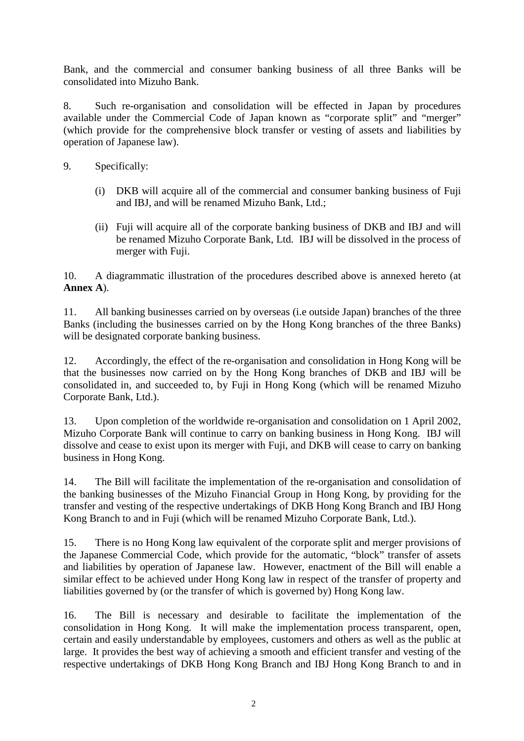Bank, and the commercial and consumer banking business of all three Banks will be consolidated into Mizuho Bank.

8. Such re-organisation and consolidation will be effected in Japan by procedures available under the Commercial Code of Japan known as "corporate split" and "merger" (which provide for the comprehensive block transfer or vesting of assets and liabilities by operation of Japanese law).

- 9. Specifically:
	- (i) DKB will acquire all of the commercial and consumer banking business of Fuji and IBJ, and will be renamed Mizuho Bank, Ltd.;
	- (ii) Fuji will acquire all of the corporate banking business of DKB and IBJ and will be renamed Mizuho Corporate Bank, Ltd. IBJ will be dissolved in the process of merger with Fuji.

10. A diagrammatic illustration of the procedures described above is annexed hereto (at **Annex A**).

11. All banking businesses carried on by overseas (i.e outside Japan) branches of the three Banks (including the businesses carried on by the Hong Kong branches of the three Banks) will be designated corporate banking business.

12. Accordingly, the effect of the re-organisation and consolidation in Hong Kong will be that the businesses now carried on by the Hong Kong branches of DKB and IBJ will be consolidated in, and succeeded to, by Fuji in Hong Kong (which will be renamed Mizuho Corporate Bank, Ltd.).

13. Upon completion of the worldwide re-organisation and consolidation on 1 April 2002, Mizuho Corporate Bank will continue to carry on banking business in Hong Kong. IBJ will dissolve and cease to exist upon its merger with Fuji, and DKB will cease to carry on banking business in Hong Kong.

14. The Bill will facilitate the implementation of the re-organisation and consolidation of the banking businesses of the Mizuho Financial Group in Hong Kong, by providing for the transfer and vesting of the respective undertakings of DKB Hong Kong Branch and IBJ Hong Kong Branch to and in Fuji (which will be renamed Mizuho Corporate Bank, Ltd.).

15. There is no Hong Kong law equivalent of the corporate split and merger provisions of the Japanese Commercial Code, which provide for the automatic, "block" transfer of assets and liabilities by operation of Japanese law. However, enactment of the Bill will enable a similar effect to be achieved under Hong Kong law in respect of the transfer of property and liabilities governed by (or the transfer of which is governed by) Hong Kong law.

16. The Bill is necessary and desirable to facilitate the implementation of the consolidation in Hong Kong. It will make the implementation process transparent, open, certain and easily understandable by employees, customers and others as well as the public at large. It provides the best way of achieving a smooth and efficient transfer and vesting of the respective undertakings of DKB Hong Kong Branch and IBJ Hong Kong Branch to and in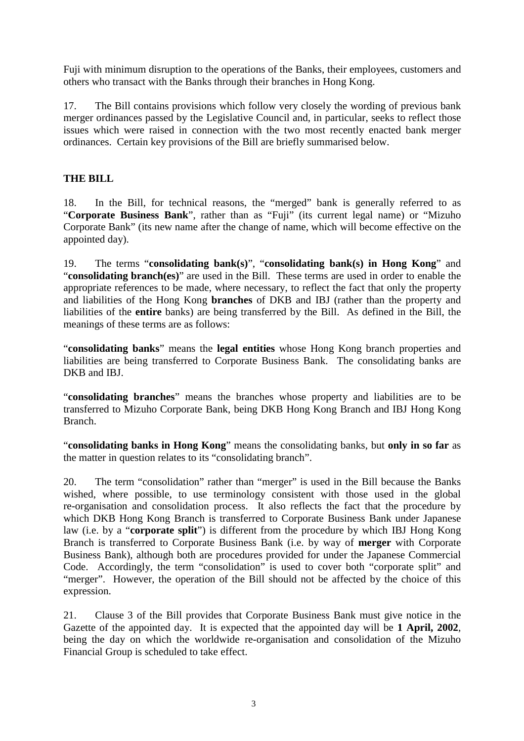Fuji with minimum disruption to the operations of the Banks, their employees, customers and others who transact with the Banks through their branches in Hong Kong.

17. The Bill contains provisions which follow very closely the wording of previous bank merger ordinances passed by the Legislative Council and, in particular, seeks to reflect those issues which were raised in connection with the two most recently enacted bank merger ordinances. Certain key provisions of the Bill are briefly summarised below.

# **THE BILL**

18. In the Bill, for technical reasons, the "merged" bank is generally referred to as "**Corporate Business Bank**", rather than as "Fuji" (its current legal name) or "Mizuho Corporate Bank" (its new name after the change of name, which will become effective on the appointed day).

19. The terms "**consolidating bank(s)**", "**consolidating bank(s) in Hong Kong**" and "**consolidating branch(es)**" are used in the Bill. These terms are used in order to enable the appropriate references to be made, where necessary, to reflect the fact that only the property and liabilities of the Hong Kong **branches** of DKB and IBJ (rather than the property and liabilities of the **entire** banks) are being transferred by the Bill. As defined in the Bill, the meanings of these terms are as follows:

"**consolidating banks**" means the **legal entities** whose Hong Kong branch properties and liabilities are being transferred to Corporate Business Bank. The consolidating banks are DKB and IBJ.

"**consolidating branches**" means the branches whose property and liabilities are to be transferred to Mizuho Corporate Bank, being DKB Hong Kong Branch and IBJ Hong Kong Branch.

"**consolidating banks in Hong Kong**" means the consolidating banks, but **only in so far** as the matter in question relates to its "consolidating branch".

20. The term "consolidation" rather than "merger" is used in the Bill because the Banks wished, where possible, to use terminology consistent with those used in the global re-organisation and consolidation process. It also reflects the fact that the procedure by which DKB Hong Kong Branch is transferred to Corporate Business Bank under Japanese law (i.e. by a "**corporate split**") is different from the procedure by which IBJ Hong Kong Branch is transferred to Corporate Business Bank (i.e. by way of **merger** with Corporate Business Bank), although both are procedures provided for under the Japanese Commercial Code. Accordingly, the term "consolidation" is used to cover both "corporate split" and "merger". However, the operation of the Bill should not be affected by the choice of this expression.

21. Clause 3 of the Bill provides that Corporate Business Bank must give notice in the Gazette of the appointed day. It is expected that the appointed day will be **1 April, 2002**, being the day on which the worldwide re-organisation and consolidation of the Mizuho Financial Group is scheduled to take effect.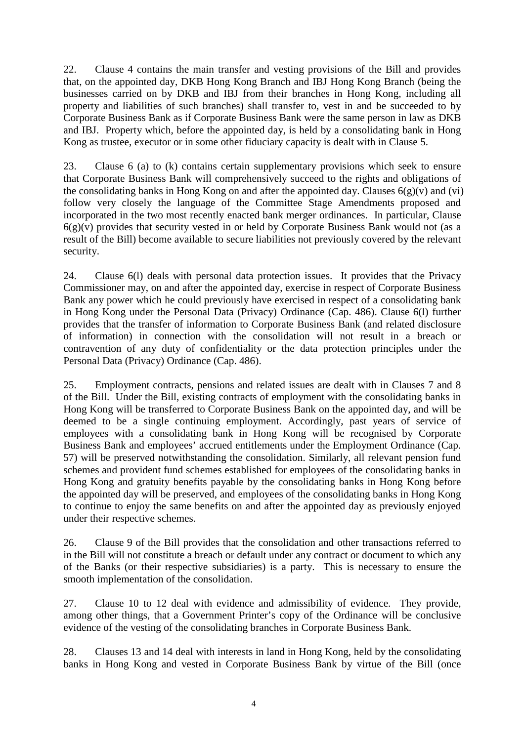22. Clause 4 contains the main transfer and vesting provisions of the Bill and provides that, on the appointed day, DKB Hong Kong Branch and IBJ Hong Kong Branch (being the businesses carried on by DKB and IBJ from their branches in Hong Kong, including all property and liabilities of such branches) shall transfer to, vest in and be succeeded to by Corporate Business Bank as if Corporate Business Bank were the same person in law as DKB and IBJ. Property which, before the appointed day, is held by a consolidating bank in Hong Kong as trustee, executor or in some other fiduciary capacity is dealt with in Clause 5.

23. Clause 6 (a) to (k) contains certain supplementary provisions which seek to ensure that Corporate Business Bank will comprehensively succeed to the rights and obligations of the consolidating banks in Hong Kong on and after the appointed day. Clauses  $6(g)(v)$  and  $(vi)$ follow very closely the language of the Committee Stage Amendments proposed and incorporated in the two most recently enacted bank merger ordinances. In particular, Clause  $6(g)(v)$  provides that security vested in or held by Corporate Business Bank would not (as a result of the Bill) become available to secure liabilities not previously covered by the relevant security.

24. Clause 6(l) deals with personal data protection issues. It provides that the Privacy Commissioner may, on and after the appointed day, exercise in respect of Corporate Business Bank any power which he could previously have exercised in respect of a consolidating bank in Hong Kong under the Personal Data (Privacy) Ordinance (Cap. 486). Clause 6(l) further provides that the transfer of information to Corporate Business Bank (and related disclosure of information) in connection with the consolidation will not result in a breach or contravention of any duty of confidentiality or the data protection principles under the Personal Data (Privacy) Ordinance (Cap. 486).

25. Employment contracts, pensions and related issues are dealt with in Clauses 7 and 8 of the Bill. Under the Bill, existing contracts of employment with the consolidating banks in Hong Kong will be transferred to Corporate Business Bank on the appointed day, and will be deemed to be a single continuing employment. Accordingly, past years of service of employees with a consolidating bank in Hong Kong will be recognised by Corporate Business Bank and employees' accrued entitlements under the Employment Ordinance (Cap. 57) will be preserved notwithstanding the consolidation. Similarly, all relevant pension fund schemes and provident fund schemes established for employees of the consolidating banks in Hong Kong and gratuity benefits payable by the consolidating banks in Hong Kong before the appointed day will be preserved, and employees of the consolidating banks in Hong Kong to continue to enjoy the same benefits on and after the appointed day as previously enjoyed under their respective schemes.

26. Clause 9 of the Bill provides that the consolidation and other transactions referred to in the Bill will not constitute a breach or default under any contract or document to which any of the Banks (or their respective subsidiaries) is a party. This is necessary to ensure the smooth implementation of the consolidation.

27. Clause 10 to 12 deal with evidence and admissibility of evidence. They provide, among other things, that a Government Printer's copy of the Ordinance will be conclusive evidence of the vesting of the consolidating branches in Corporate Business Bank.

28. Clauses 13 and 14 deal with interests in land in Hong Kong, held by the consolidating banks in Hong Kong and vested in Corporate Business Bank by virtue of the Bill (once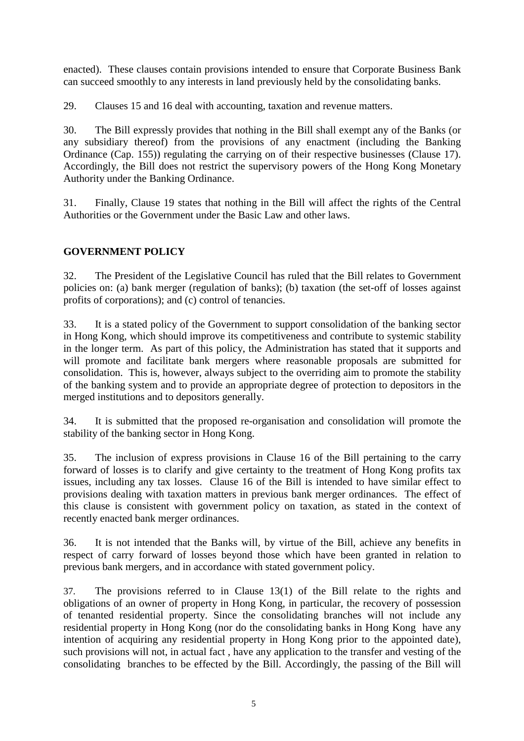enacted). These clauses contain provisions intended to ensure that Corporate Business Bank can succeed smoothly to any interests in land previously held by the consolidating banks.

29. Clauses 15 and 16 deal with accounting, taxation and revenue matters.

30. The Bill expressly provides that nothing in the Bill shall exempt any of the Banks (or any subsidiary thereof) from the provisions of any enactment (including the Banking Ordinance (Cap. 155)) regulating the carrying on of their respective businesses (Clause 17). Accordingly, the Bill does not restrict the supervisory powers of the Hong Kong Monetary Authority under the Banking Ordinance.

31. Finally, Clause 19 states that nothing in the Bill will affect the rights of the Central Authorities or the Government under the Basic Law and other laws.

# **GOVERNMENT POLICY**

32. The President of the Legislative Council has ruled that the Bill relates to Government policies on: (a) bank merger (regulation of banks); (b) taxation (the set-off of losses against profits of corporations); and (c) control of tenancies.

33. It is a stated policy of the Government to support consolidation of the banking sector in Hong Kong, which should improve its competitiveness and contribute to systemic stability in the longer term. As part of this policy, the Administration has stated that it supports and will promote and facilitate bank mergers where reasonable proposals are submitted for consolidation. This is, however, always subject to the overriding aim to promote the stability of the banking system and to provide an appropriate degree of protection to depositors in the merged institutions and to depositors generally.

34. It is submitted that the proposed re-organisation and consolidation will promote the stability of the banking sector in Hong Kong.

35. The inclusion of express provisions in Clause 16 of the Bill pertaining to the carry forward of losses is to clarify and give certainty to the treatment of Hong Kong profits tax issues, including any tax losses. Clause 16 of the Bill is intended to have similar effect to provisions dealing with taxation matters in previous bank merger ordinances. The effect of this clause is consistent with government policy on taxation, as stated in the context of recently enacted bank merger ordinances.

36. It is not intended that the Banks will, by virtue of the Bill, achieve any benefits in respect of carry forward of losses beyond those which have been granted in relation to previous bank mergers, and in accordance with stated government policy.

37. The provisions referred to in Clause 13(1) of the Bill relate to the rights and obligations of an owner of property in Hong Kong, in particular, the recovery of possession of tenanted residential property. Since the consolidating branches will not include any residential property in Hong Kong (nor do the consolidating banks in Hong Kong have any intention of acquiring any residential property in Hong Kong prior to the appointed date), such provisions will not, in actual fact , have any application to the transfer and vesting of the consolidating branches to be effected by the Bill. Accordingly, the passing of the Bill will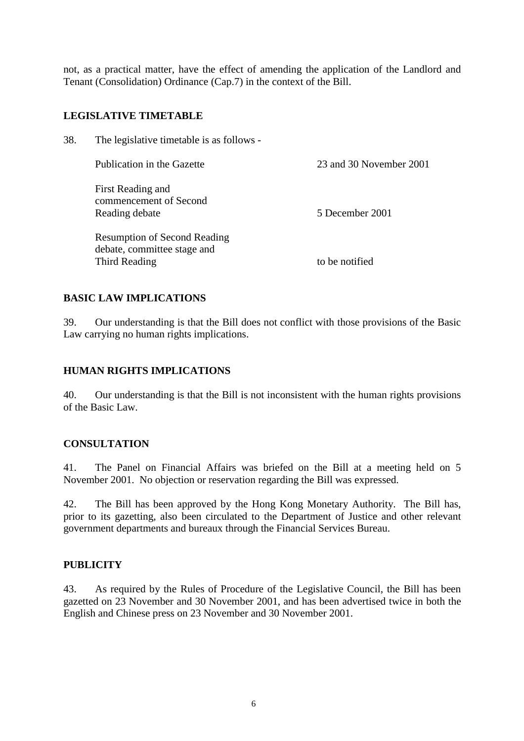not, as a practical matter, have the effect of amending the application of the Landlord and Tenant (Consolidation) Ordinance (Cap.7) in the context of the Bill.

# **LEGISLATIVE TIMETABLE**

38. The legislative timetable is as follows -

| Publication in the Gazette                                                          | 23 and 30 November 2001 |
|-------------------------------------------------------------------------------------|-------------------------|
| First Reading and<br>commencement of Second<br>Reading debate                       | 5 December 2001         |
| <b>Resumption of Second Reading</b><br>debate, committee stage and<br>Third Reading | to be notified          |

# **BASIC LAW IMPLICATIONS**

39. Our understanding is that the Bill does not conflict with those provisions of the Basic Law carrying no human rights implications.

#### **HUMAN RIGHTS IMPLICATIONS**

40. Our understanding is that the Bill is not inconsistent with the human rights provisions of the Basic Law.

#### **CONSULTATION**

41. The Panel on Financial Affairs was briefed on the Bill at a meeting held on 5 November 2001. No objection or reservation regarding the Bill was expressed.

42. The Bill has been approved by the Hong Kong Monetary Authority. The Bill has, prior to its gazetting, also been circulated to the Department of Justice and other relevant government departments and bureaux through the Financial Services Bureau.

# **PUBLICITY**

43. As required by the Rules of Procedure of the Legislative Council, the Bill has been gazetted on 23 November and 30 November 2001, and has been advertised twice in both the English and Chinese press on 23 November and 30 November 2001.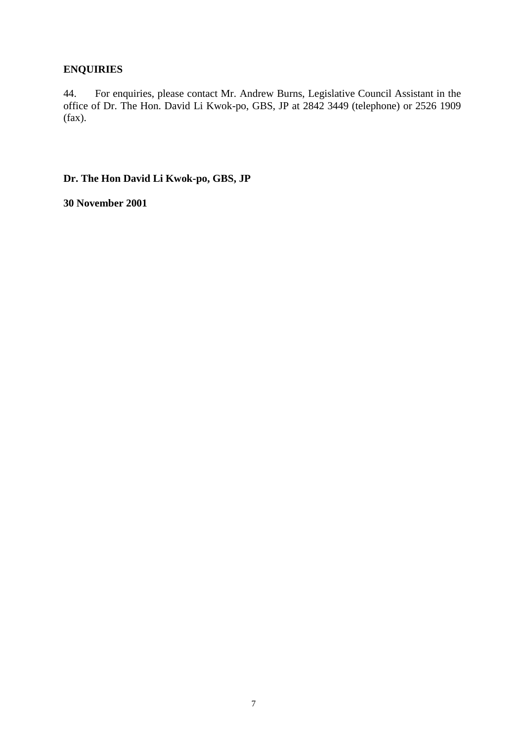# **ENQUIRIES**

44. For enquiries, please contact Mr. Andrew Burns, Legislative Council Assistant in the office of Dr. The Hon. David Li Kwok-po, GBS, JP at 2842 3449 (telephone) or 2526 1909 (fax).

**Dr. The Hon David Li Kwok-po, GBS, JP**

**30 November 2001**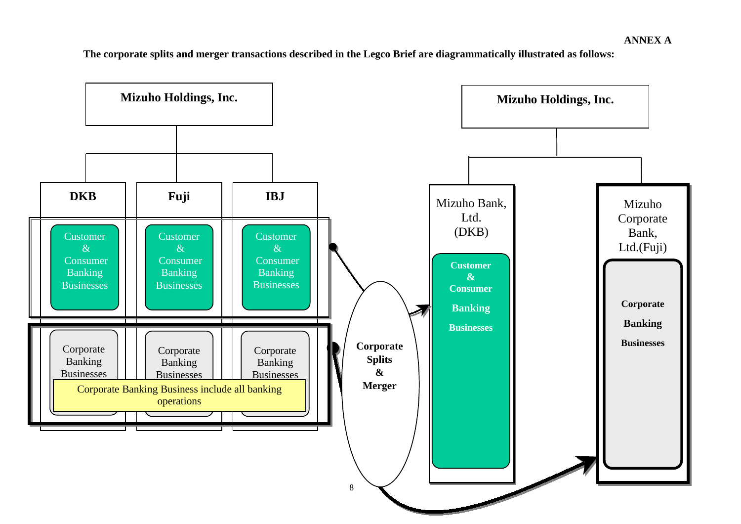**The corporate splits and merger transactions described in the Legco Brief are diagrammatically illustrated as follows:**

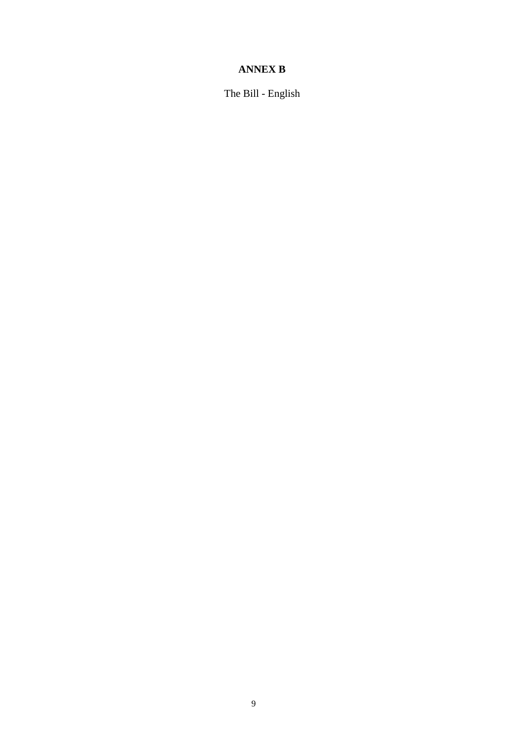# **ANNEX B**

The Bill - English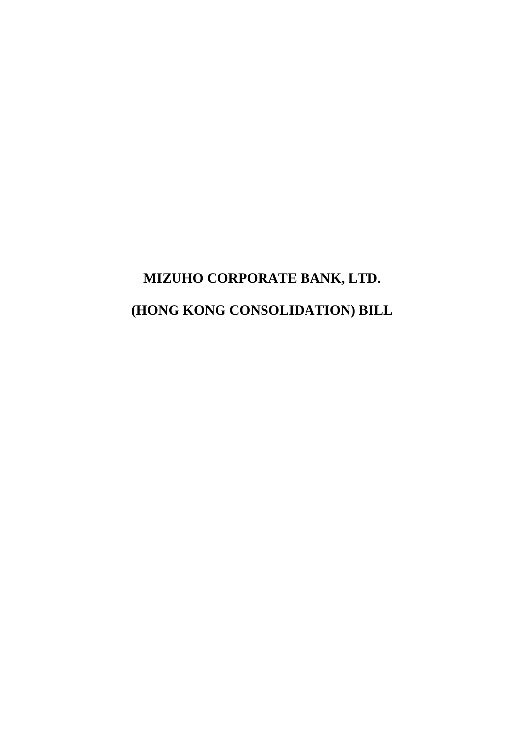# **MIZUHO CORPORATE BANK, LTD. (HONG KONG CONSOLIDATION) BILL**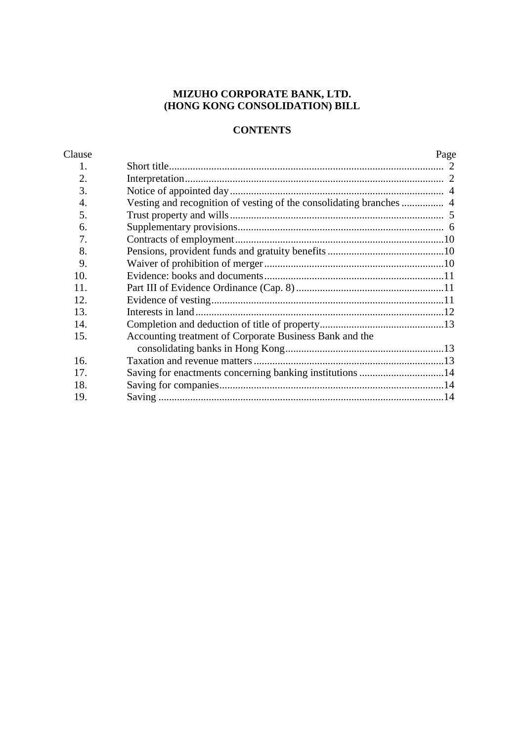#### **MIZUHO CORPORATE BANK, LTD. (HONG KONG CONSOLIDATION) BILL**

# **CONTENTS**

| Clause |                                                          | Page |
|--------|----------------------------------------------------------|------|
| 1.     |                                                          |      |
| 2.     |                                                          |      |
| 3.     |                                                          |      |
| 4.     |                                                          |      |
| 5.     |                                                          |      |
| 6.     |                                                          |      |
| 7.     |                                                          |      |
| 8.     |                                                          |      |
| 9.     |                                                          |      |
| 10.    |                                                          |      |
| 11.    |                                                          |      |
| 12.    |                                                          |      |
| 13.    |                                                          |      |
| 14.    |                                                          |      |
| 15.    | Accounting treatment of Corporate Business Bank and the  |      |
|        |                                                          |      |
| 16.    |                                                          |      |
| 17.    | Saving for enactments concerning banking institutions 14 |      |
| 18.    |                                                          |      |
| 19.    |                                                          |      |
|        |                                                          |      |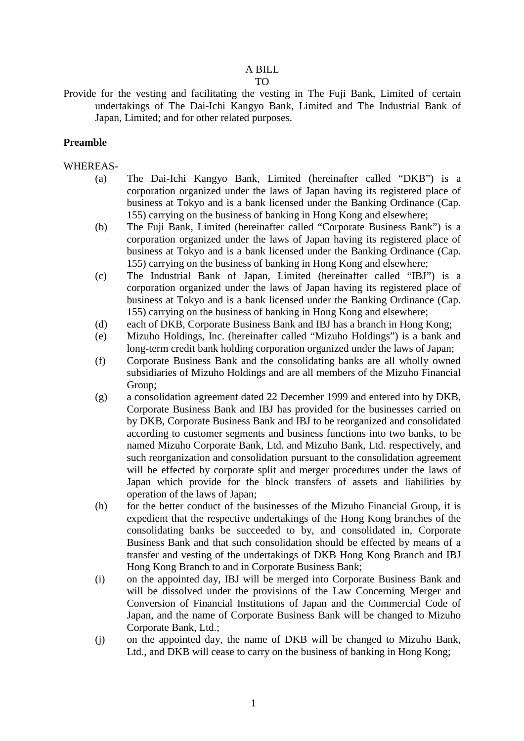# A BILL

- TO
- Provide for the vesting and facilitating the vesting in The Fuji Bank, Limited of certain undertakings of The Dai-Ichi Kangyo Bank, Limited and The Industrial Bank of Japan, Limited; and for other related purposes.

#### **Preamble**

#### WHEREAS-

- (a) The Dai-Ichi Kangyo Bank, Limited (hereinafter called "DKB") is a corporation organized under the laws of Japan having its registered place of business at Tokyo and is a bank licensed under the Banking Ordinance (Cap. 155) carrying on the business of banking in Hong Kong and elsewhere;
- (b) The Fuji Bank, Limited (hereinafter called "Corporate Business Bank") is a corporation organized under the laws of Japan having its registered place of business at Tokyo and is a bank licensed under the Banking Ordinance (Cap. 155) carrying on the business of banking in Hong Kong and elsewhere;
- (c) The Industrial Bank of Japan, Limited (hereinafter called "IBJ") is a corporation organized under the laws of Japan having its registered place of business at Tokyo and is a bank licensed under the Banking Ordinance (Cap. 155) carrying on the business of banking in Hong Kong and elsewhere;
- (d) each of DKB, Corporate Business Bank and IBJ has a branch in Hong Kong;
- (e) Mizuho Holdings, Inc. (hereinafter called "Mizuho Holdings") is a bank and long-term credit bank holding corporation organized under the laws of Japan;
- (f) Corporate Business Bank and the consolidating banks are all wholly owned subsidiaries of Mizuho Holdings and are all members of the Mizuho Financial Group;
- (g) a consolidation agreement dated 22 December 1999 and entered into by DKB, Corporate Business Bank and IBJ has provided for the businesses carried on by DKB, Corporate Business Bank and IBJ to be reorganized and consolidated according to customer segments and business functions into two banks, to be named Mizuho Corporate Bank, Ltd. and Mizuho Bank, Ltd. respectively, and such reorganization and consolidation pursuant to the consolidation agreement will be effected by corporate split and merger procedures under the laws of Japan which provide for the block transfers of assets and liabilities by operation of the laws of Japan;
- (h) for the better conduct of the businesses of the Mizuho Financial Group, it is expedient that the respective undertakings of the Hong Kong branches of the consolidating banks be succeeded to by, and consolidated in, Corporate Business Bank and that such consolidation should be effected by means of a transfer and vesting of the undertakings of DKB Hong Kong Branch and IBJ Hong Kong Branch to and in Corporate Business Bank;
- (i) on the appointed day, IBJ will be merged into Corporate Business Bank and will be dissolved under the provisions of the Law Concerning Merger and Conversion of Financial Institutions of Japan and the Commercial Code of Japan, and the name of Corporate Business Bank will be changed to Mizuho Corporate Bank, Ltd.;
- (j) on the appointed day, the name of DKB will be changed to Mizuho Bank, Ltd., and DKB will cease to carry on the business of banking in Hong Kong;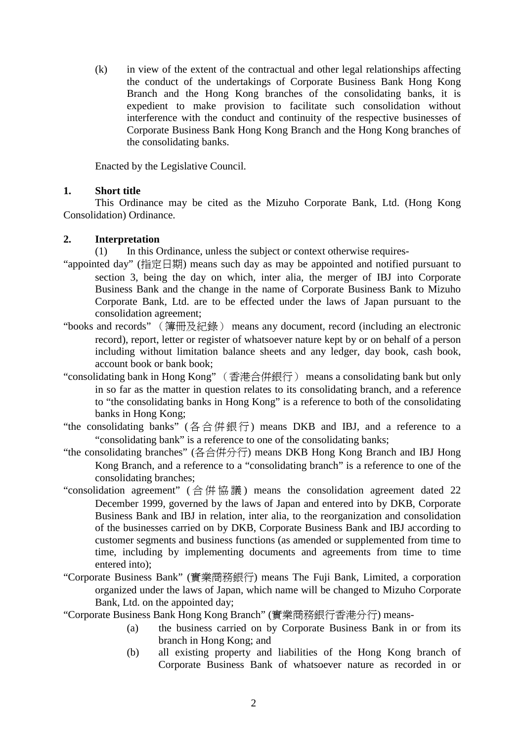(k) in view of the extent of the contractual and other legal relationships affecting the conduct of the undertakings of Corporate Business Bank Hong Kong Branch and the Hong Kong branches of the consolidating banks, it is expedient to make provision to facilitate such consolidation without interference with the conduct and continuity of the respective businesses of Corporate Business Bank Hong Kong Branch and the Hong Kong branches of the consolidating banks.

Enacted by the Legislative Council.

# **1. Short title**

This Ordinance may be cited as the Mizuho Corporate Bank, Ltd. (Hong Kong Consolidation) Ordinance.

#### **2. Interpretation**

(1) In this Ordinance, unless the subject or context otherwise requires-

- "appointed day" (指定日期) means such day as may be appointed and notified pursuant to section 3, being the day on which, inter alia, the merger of IBJ into Corporate Business Bank and the change in the name of Corporate Business Bank to Mizuho Corporate Bank, Ltd. are to be effected under the laws of Japan pursuant to the consolidation agreement;
- "books and records" (簿冊及紀錄) means any document, record (including an electronic record), report, letter or register of whatsoever nature kept by or on behalf of a person including without limitation balance sheets and any ledger, day book, cash book, account book or bank book;
- "consolidating bank in Hong Kong" (香港合併銀行) means a consolidating bank but only in so far as the matter in question relates to its consolidating branch, and a reference to "the consolidating banks in Hong Kong" is a reference to both of the consolidating banks in Hong Kong;
- "the consolidating banks" (各合併銀行) means DKB and IBJ, and a reference to a "consolidating bank" is a reference to one of the consolidating banks;
- "the consolidating branches" (各合併分行) means DKB Hong Kong Branch and IBJ Hong Kong Branch, and a reference to a "consolidating branch" is a reference to one of the consolidating branches;
- "consolidation agreement" ( 合併協議 ) means the consolidation agreement dated 22 December 1999, governed by the laws of Japan and entered into by DKB, Corporate Business Bank and IBJ in relation, inter alia, to the reorganization and consolidation of the businesses carried on by DKB, Corporate Business Bank and IBJ according to customer segments and business functions (as amended or supplemented from time to time, including by implementing documents and agreements from time to time entered into);
- "Corporate Business Bank" (實業商務銀行) means The Fuji Bank, Limited, a corporation organized under the laws of Japan, which name will be changed to Mizuho Corporate Bank, Ltd. on the appointed day;
- "Corporate Business Bank Hong Kong Branch" (實業商務銀行香港分行) means-
	- (a) the business carried on by Corporate Business Bank in or from its branch in Hong Kong; and
	- (b) all existing property and liabilities of the Hong Kong branch of Corporate Business Bank of whatsoever nature as recorded in or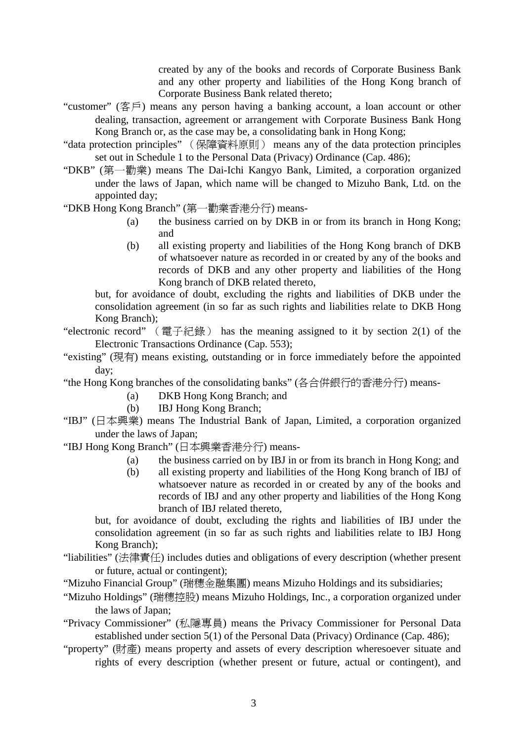created by any of the books and records of Corporate Business Bank and any other property and liabilities of the Hong Kong branch of Corporate Business Bank related thereto;

- "customer" (客戶) means any person having a banking account, a loan account or other dealing, transaction, agreement or arrangement with Corporate Business Bank Hong Kong Branch or, as the case may be, a consolidating bank in Hong Kong;
- "data protection principles" (保障資料原則) means any of the data protection principles set out in Schedule 1 to the Personal Data (Privacy) Ordinance (Cap. 486);
- "DKB" (第㆒勸業) means The Dai-Ichi Kangyo Bank, Limited, a corporation organized under the laws of Japan, which name will be changed to Mizuho Bank, Ltd. on the appointed day;

"DKB Hong Kong Branch" (第㆒勸業香港分行) means-

- (a) the business carried on by DKB in or from its branch in Hong Kong; and
- (b) all existing property and liabilities of the Hong Kong branch of DKB of whatsoever nature as recorded in or created by any of the books and records of DKB and any other property and liabilities of the Hong Kong branch of DKB related thereto,

but, for avoidance of doubt, excluding the rights and liabilities of DKB under the consolidation agreement (in so far as such rights and liabilities relate to DKB Hong Kong Branch);

"electronic record" (電子紀錄) has the meaning assigned to it by section 2(1) of the Electronic Transactions Ordinance (Cap. 553);

- "existing" (現有) means existing, outstanding or in force immediately before the appointed day;
- "the Hong Kong branches of the consolidating banks" (各合併銀行的香港分行) means-
	- (a) DKB Hong Kong Branch; and
	- (b) IBJ Hong Kong Branch;
- "IBJ" (日本興業) means The Industrial Bank of Japan, Limited, a corporation organized under the laws of Japan;

"IBJ Hong Kong Branch" (日本興業香港分行) means-

- (a) the business carried on by IBJ in or from its branch in Hong Kong; and
- (b) all existing property and liabilities of the Hong Kong branch of IBJ of whatsoever nature as recorded in or created by any of the books and records of IBJ and any other property and liabilities of the Hong Kong branch of IBJ related thereto,

but, for avoidance of doubt, excluding the rights and liabilities of IBJ under the consolidation agreement (in so far as such rights and liabilities relate to IBJ Hong Kong Branch);

- "liabilities" (法律責任) includes duties and obligations of every description (whether present or future, actual or contingent);
- "Mizuho Financial Group" (瑞穗金融集團) means Mizuho Holdings and its subsidiaries;
- "Mizuho Holdings" (瑞穗控股) means Mizuho Holdings, Inc., a corporation organized under the laws of Japan;
- "Privacy Commissioner" (私隱專員) means the Privacy Commissioner for Personal Data established under section 5(1) of the Personal Data (Privacy) Ordinance (Cap. 486);
- "property" (財產) means property and assets of every description wheresoever situate and rights of every description (whether present or future, actual or contingent), and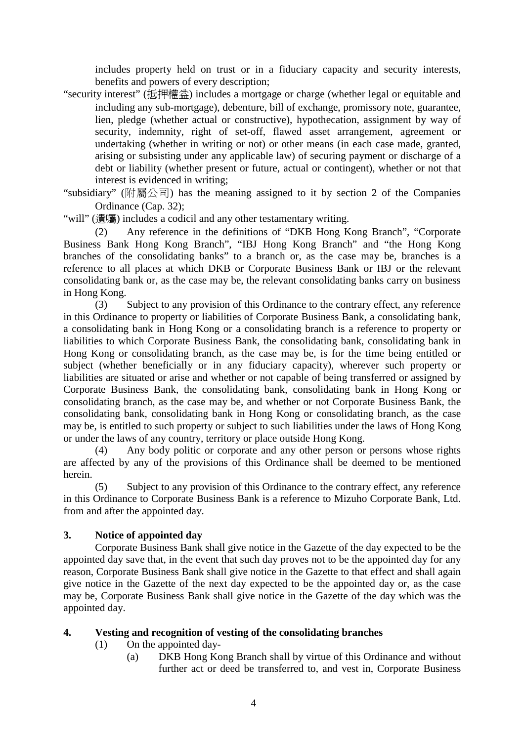includes property held on trust or in a fiduciary capacity and security interests, benefits and powers of every description;

"security interest" (抵押權益) includes a mortgage or charge (whether legal or equitable and including any sub-mortgage), debenture, bill of exchange, promissory note, guarantee, lien, pledge (whether actual or constructive), hypothecation, assignment by way of security, indemnity, right of set-off, flawed asset arrangement, agreement or undertaking (whether in writing or not) or other means (in each case made, granted, arising or subsisting under any applicable law) of securing payment or discharge of a debt or liability (whether present or future, actual or contingent), whether or not that interest is evidenced in writing;

"subsidiary" (附屬公司) has the meaning assigned to it by section 2 of the Companies Ordinance (Cap. 32);

"will" (遺囑) includes a codicil and any other testamentary writing.

(2) Any reference in the definitions of "DKB Hong Kong Branch", "Corporate Business Bank Hong Kong Branch", "IBJ Hong Kong Branch" and "the Hong Kong branches of the consolidating banks" to a branch or, as the case may be, branches is a reference to all places at which DKB or Corporate Business Bank or IBJ or the relevant consolidating bank or, as the case may be, the relevant consolidating banks carry on business in Hong Kong.

(3) Subject to any provision of this Ordinance to the contrary effect, any reference in this Ordinance to property or liabilities of Corporate Business Bank, a consolidating bank, a consolidating bank in Hong Kong or a consolidating branch is a reference to property or liabilities to which Corporate Business Bank, the consolidating bank, consolidating bank in Hong Kong or consolidating branch, as the case may be, is for the time being entitled or subject (whether beneficially or in any fiduciary capacity), wherever such property or liabilities are situated or arise and whether or not capable of being transferred or assigned by Corporate Business Bank, the consolidating bank, consolidating bank in Hong Kong or consolidating branch, as the case may be, and whether or not Corporate Business Bank, the consolidating bank, consolidating bank in Hong Kong or consolidating branch, as the case may be, is entitled to such property or subject to such liabilities under the laws of Hong Kong or under the laws of any country, territory or place outside Hong Kong.

Any body politic or corporate and any other person or persons whose rights are affected by any of the provisions of this Ordinance shall be deemed to be mentioned herein.

(5) Subject to any provision of this Ordinance to the contrary effect, any reference in this Ordinance to Corporate Business Bank is a reference to Mizuho Corporate Bank, Ltd. from and after the appointed day.

# **3. Notice of appointed day**

Corporate Business Bank shall give notice in the Gazette of the day expected to be the appointed day save that, in the event that such day proves not to be the appointed day for any reason, Corporate Business Bank shall give notice in the Gazette to that effect and shall again give notice in the Gazette of the next day expected to be the appointed day or, as the case may be, Corporate Business Bank shall give notice in the Gazette of the day which was the appointed day.

#### **4. Vesting and recognition of vesting of the consolidating branches**

- (1) On the appointed day-
	- (a) DKB Hong Kong Branch shall by virtue of this Ordinance and without further act or deed be transferred to, and vest in, Corporate Business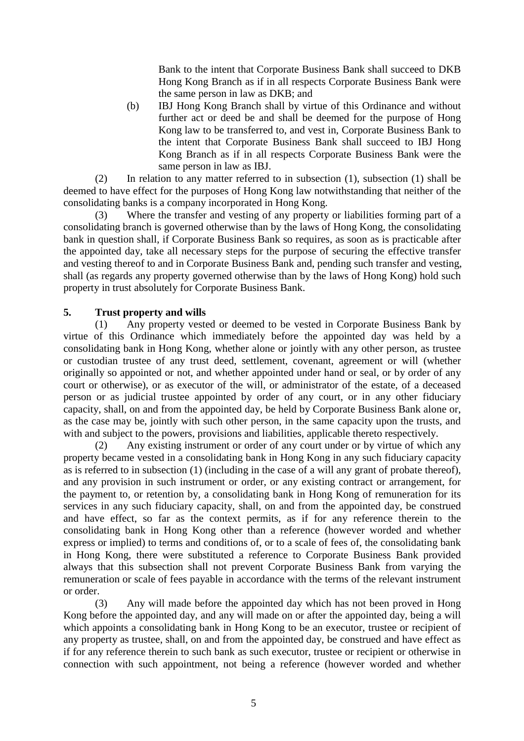Bank to the intent that Corporate Business Bank shall succeed to DKB Hong Kong Branch as if in all respects Corporate Business Bank were the same person in law as DKB; and

(b) IBJ Hong Kong Branch shall by virtue of this Ordinance and without further act or deed be and shall be deemed for the purpose of Hong Kong law to be transferred to, and vest in, Corporate Business Bank to the intent that Corporate Business Bank shall succeed to IBJ Hong Kong Branch as if in all respects Corporate Business Bank were the same person in law as IBJ.

(2) In relation to any matter referred to in subsection (1), subsection (1) shall be deemed to have effect for the purposes of Hong Kong law notwithstanding that neither of the consolidating banks is a company incorporated in Hong Kong.

Where the transfer and vesting of any property or liabilities forming part of a consolidating branch is governed otherwise than by the laws of Hong Kong, the consolidating bank in question shall, if Corporate Business Bank so requires, as soon as is practicable after the appointed day, take all necessary steps for the purpose of securing the effective transfer and vesting thereof to and in Corporate Business Bank and, pending such transfer and vesting, shall (as regards any property governed otherwise than by the laws of Hong Kong) hold such property in trust absolutely for Corporate Business Bank.

# **5. Trust property and wills**

(1) Any property vested or deemed to be vested in Corporate Business Bank by virtue of this Ordinance which immediately before the appointed day was held by a consolidating bank in Hong Kong, whether alone or jointly with any other person, as trustee or custodian trustee of any trust deed, settlement, covenant, agreement or will (whether originally so appointed or not, and whether appointed under hand or seal, or by order of any court or otherwise), or as executor of the will, or administrator of the estate, of a deceased person or as judicial trustee appointed by order of any court, or in any other fiduciary capacity, shall, on and from the appointed day, be held by Corporate Business Bank alone or, as the case may be, jointly with such other person, in the same capacity upon the trusts, and with and subject to the powers, provisions and liabilities, applicable thereto respectively.

(2) Any existing instrument or order of any court under or by virtue of which any property became vested in a consolidating bank in Hong Kong in any such fiduciary capacity as is referred to in subsection (1) (including in the case of a will any grant of probate thereof), and any provision in such instrument or order, or any existing contract or arrangement, for the payment to, or retention by, a consolidating bank in Hong Kong of remuneration for its services in any such fiduciary capacity, shall, on and from the appointed day, be construed and have effect, so far as the context permits, as if for any reference therein to the consolidating bank in Hong Kong other than a reference (however worded and whether express or implied) to terms and conditions of, or to a scale of fees of, the consolidating bank in Hong Kong, there were substituted a reference to Corporate Business Bank provided always that this subsection shall not prevent Corporate Business Bank from varying the remuneration or scale of fees payable in accordance with the terms of the relevant instrument or order.

(3) Any will made before the appointed day which has not been proved in Hong Kong before the appointed day, and any will made on or after the appointed day, being a will which appoints a consolidating bank in Hong Kong to be an executor, trustee or recipient of any property as trustee, shall, on and from the appointed day, be construed and have effect as if for any reference therein to such bank as such executor, trustee or recipient or otherwise in connection with such appointment, not being a reference (however worded and whether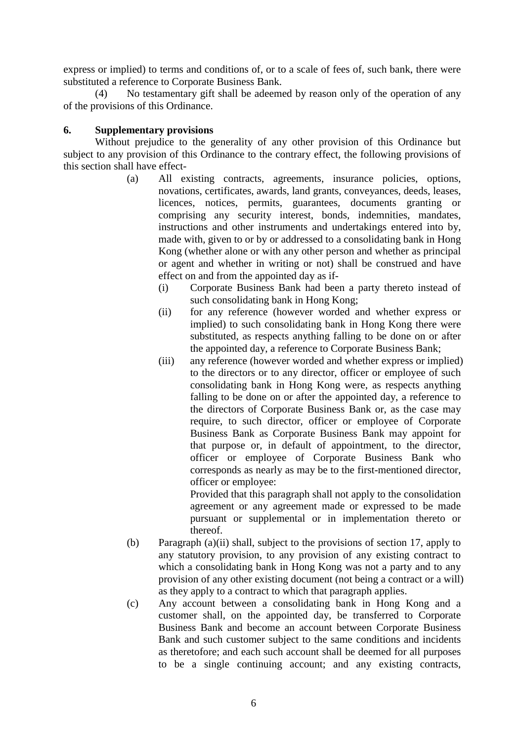express or implied) to terms and conditions of, or to a scale of fees of, such bank, there were substituted a reference to Corporate Business Bank.

No testamentary gift shall be adeemed by reason only of the operation of any of the provisions of this Ordinance.

# **6. Supplementary provisions**

Without prejudice to the generality of any other provision of this Ordinance but subject to any provision of this Ordinance to the contrary effect, the following provisions of this section shall have effect-

- (a) All existing contracts, agreements, insurance policies, options, novations, certificates, awards, land grants, conveyances, deeds, leases, licences, notices, permits, guarantees, documents granting or comprising any security interest, bonds, indemnities, mandates, instructions and other instruments and undertakings entered into by, made with, given to or by or addressed to a consolidating bank in Hong Kong (whether alone or with any other person and whether as principal or agent and whether in writing or not) shall be construed and have effect on and from the appointed day as if-
	- (i) Corporate Business Bank had been a party thereto instead of such consolidating bank in Hong Kong;
	- (ii) for any reference (however worded and whether express or implied) to such consolidating bank in Hong Kong there were substituted, as respects anything falling to be done on or after the appointed day, a reference to Corporate Business Bank;
	- (iii) any reference (however worded and whether express or implied) to the directors or to any director, officer or employee of such consolidating bank in Hong Kong were, as respects anything falling to be done on or after the appointed day, a reference to the directors of Corporate Business Bank or, as the case may require, to such director, officer or employee of Corporate Business Bank as Corporate Business Bank may appoint for that purpose or, in default of appointment, to the director, officer or employee of Corporate Business Bank who corresponds as nearly as may be to the first-mentioned director, officer or employee:

Provided that this paragraph shall not apply to the consolidation agreement or any agreement made or expressed to be made pursuant or supplemental or in implementation thereto or thereof.

- (b) Paragraph (a)(ii) shall, subject to the provisions of section 17, apply to any statutory provision, to any provision of any existing contract to which a consolidating bank in Hong Kong was not a party and to any provision of any other existing document (not being a contract or a will) as they apply to a contract to which that paragraph applies.
- (c) Any account between a consolidating bank in Hong Kong and a customer shall, on the appointed day, be transferred to Corporate Business Bank and become an account between Corporate Business Bank and such customer subject to the same conditions and incidents as theretofore; and each such account shall be deemed for all purposes to be a single continuing account; and any existing contracts,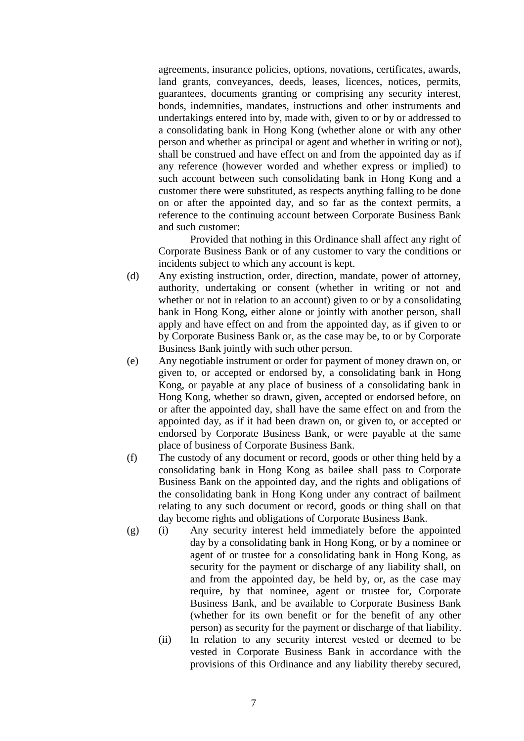agreements, insurance policies, options, novations, certificates, awards, land grants, conveyances, deeds, leases, licences, notices, permits, guarantees, documents granting or comprising any security interest, bonds, indemnities, mandates, instructions and other instruments and undertakings entered into by, made with, given to or by or addressed to a consolidating bank in Hong Kong (whether alone or with any other person and whether as principal or agent and whether in writing or not), shall be construed and have effect on and from the appointed day as if any reference (however worded and whether express or implied) to such account between such consolidating bank in Hong Kong and a customer there were substituted, as respects anything falling to be done on or after the appointed day, and so far as the context permits, a reference to the continuing account between Corporate Business Bank and such customer:

Provided that nothing in this Ordinance shall affect any right of Corporate Business Bank or of any customer to vary the conditions or incidents subject to which any account is kept.

- (d) Any existing instruction, order, direction, mandate, power of attorney, authority, undertaking or consent (whether in writing or not and whether or not in relation to an account) given to or by a consolidating bank in Hong Kong, either alone or jointly with another person, shall apply and have effect on and from the appointed day, as if given to or by Corporate Business Bank or, as the case may be, to or by Corporate Business Bank jointly with such other person.
- (e) Any negotiable instrument or order for payment of money drawn on, or given to, or accepted or endorsed by, a consolidating bank in Hong Kong, or payable at any place of business of a consolidating bank in Hong Kong, whether so drawn, given, accepted or endorsed before, on or after the appointed day, shall have the same effect on and from the appointed day, as if it had been drawn on, or given to, or accepted or endorsed by Corporate Business Bank, or were payable at the same place of business of Corporate Business Bank.
- (f) The custody of any document or record, goods or other thing held by a consolidating bank in Hong Kong as bailee shall pass to Corporate Business Bank on the appointed day, and the rights and obligations of the consolidating bank in Hong Kong under any contract of bailment relating to any such document or record, goods or thing shall on that day become rights and obligations of Corporate Business Bank.
- (g) (i) Any security interest held immediately before the appointed day by a consolidating bank in Hong Kong, or by a nominee or agent of or trustee for a consolidating bank in Hong Kong, as security for the payment or discharge of any liability shall, on and from the appointed day, be held by, or, as the case may require, by that nominee, agent or trustee for, Corporate Business Bank, and be available to Corporate Business Bank (whether for its own benefit or for the benefit of any other person) as security for the payment or discharge of that liability.
	- (ii) In relation to any security interest vested or deemed to be vested in Corporate Business Bank in accordance with the provisions of this Ordinance and any liability thereby secured,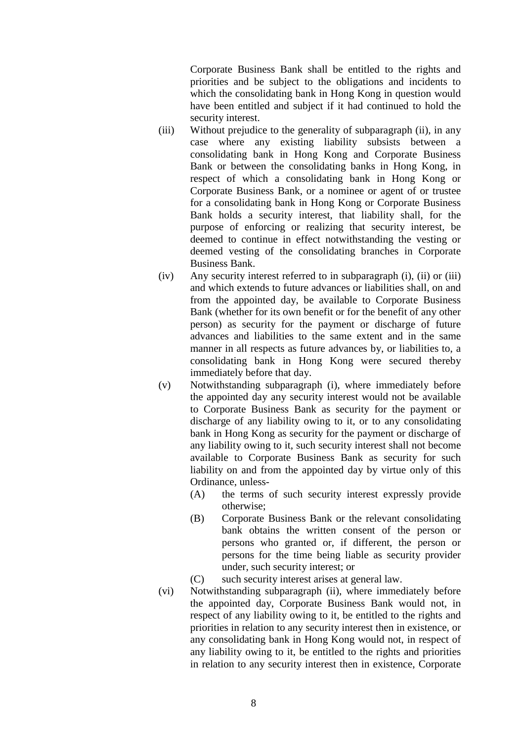Corporate Business Bank shall be entitled to the rights and priorities and be subject to the obligations and incidents to which the consolidating bank in Hong Kong in question would have been entitled and subject if it had continued to hold the security interest.

- (iii) Without prejudice to the generality of subparagraph (ii), in any case where any existing liability subsists between a consolidating bank in Hong Kong and Corporate Business Bank or between the consolidating banks in Hong Kong, in respect of which a consolidating bank in Hong Kong or Corporate Business Bank, or a nominee or agent of or trustee for a consolidating bank in Hong Kong or Corporate Business Bank holds a security interest, that liability shall, for the purpose of enforcing or realizing that security interest, be deemed to continue in effect notwithstanding the vesting or deemed vesting of the consolidating branches in Corporate Business Bank.
- (iv) Any security interest referred to in subparagraph (i), (ii) or (iii) and which extends to future advances or liabilities shall, on and from the appointed day, be available to Corporate Business Bank (whether for its own benefit or for the benefit of any other person) as security for the payment or discharge of future advances and liabilities to the same extent and in the same manner in all respects as future advances by, or liabilities to, a consolidating bank in Hong Kong were secured thereby immediately before that day.
- (v) Notwithstanding subparagraph (i), where immediately before the appointed day any security interest would not be available to Corporate Business Bank as security for the payment or discharge of any liability owing to it, or to any consolidating bank in Hong Kong as security for the payment or discharge of any liability owing to it, such security interest shall not become available to Corporate Business Bank as security for such liability on and from the appointed day by virtue only of this Ordinance, unless-
	- (A) the terms of such security interest expressly provide otherwise;
	- (B) Corporate Business Bank or the relevant consolidating bank obtains the written consent of the person or persons who granted or, if different, the person or persons for the time being liable as security provider under, such security interest; or
	- (C) such security interest arises at general law.
- (vi) Notwithstanding subparagraph (ii), where immediately before the appointed day, Corporate Business Bank would not, in respect of any liability owing to it, be entitled to the rights and priorities in relation to any security interest then in existence, or any consolidating bank in Hong Kong would not, in respect of any liability owing to it, be entitled to the rights and priorities in relation to any security interest then in existence, Corporate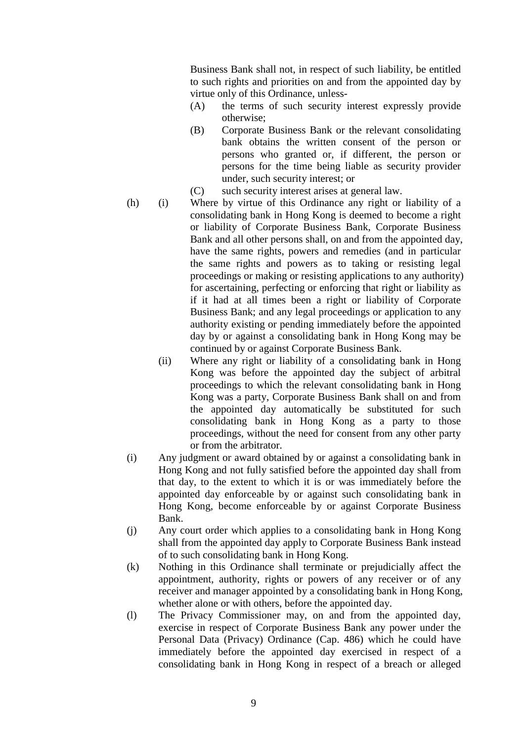Business Bank shall not, in respect of such liability, be entitled to such rights and priorities on and from the appointed day by virtue only of this Ordinance, unless-

- (A) the terms of such security interest expressly provide otherwise;
- (B) Corporate Business Bank or the relevant consolidating bank obtains the written consent of the person or persons who granted or, if different, the person or persons for the time being liable as security provider under, such security interest; or
- (C) such security interest arises at general law.
- (h) (i) Where by virtue of this Ordinance any right or liability of a consolidating bank in Hong Kong is deemed to become a right or liability of Corporate Business Bank, Corporate Business Bank and all other persons shall, on and from the appointed day, have the same rights, powers and remedies (and in particular the same rights and powers as to taking or resisting legal proceedings or making or resisting applications to any authority) for ascertaining, perfecting or enforcing that right or liability as if it had at all times been a right or liability of Corporate Business Bank; and any legal proceedings or application to any authority existing or pending immediately before the appointed day by or against a consolidating bank in Hong Kong may be continued by or against Corporate Business Bank.
	- (ii) Where any right or liability of a consolidating bank in Hong Kong was before the appointed day the subject of arbitral proceedings to which the relevant consolidating bank in Hong Kong was a party, Corporate Business Bank shall on and from the appointed day automatically be substituted for such consolidating bank in Hong Kong as a party to those proceedings, without the need for consent from any other party or from the arbitrator.
- (i) Any judgment or award obtained by or against a consolidating bank in Hong Kong and not fully satisfied before the appointed day shall from that day, to the extent to which it is or was immediately before the appointed day enforceable by or against such consolidating bank in Hong Kong, become enforceable by or against Corporate Business Bank.
- (j) Any court order which applies to a consolidating bank in Hong Kong shall from the appointed day apply to Corporate Business Bank instead of to such consolidating bank in Hong Kong.
- (k) Nothing in this Ordinance shall terminate or prejudicially affect the appointment, authority, rights or powers of any receiver or of any receiver and manager appointed by a consolidating bank in Hong Kong, whether alone or with others, before the appointed day.
- (l) The Privacy Commissioner may, on and from the appointed day, exercise in respect of Corporate Business Bank any power under the Personal Data (Privacy) Ordinance (Cap. 486) which he could have immediately before the appointed day exercised in respect of a consolidating bank in Hong Kong in respect of a breach or alleged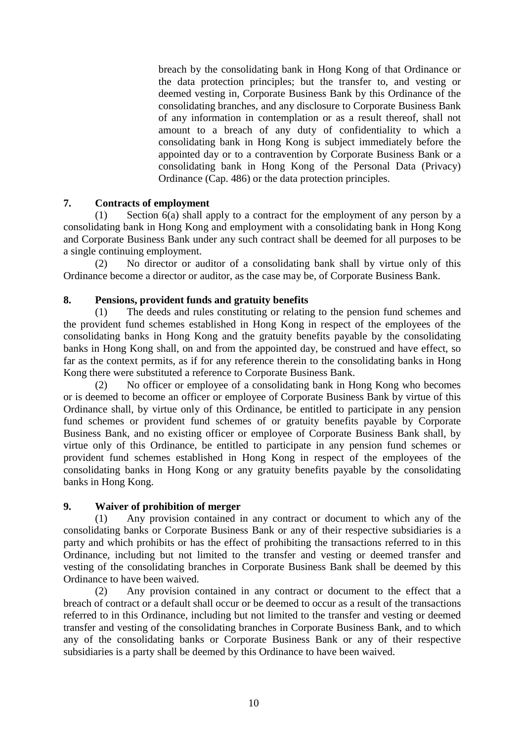breach by the consolidating bank in Hong Kong of that Ordinance or the data protection principles; but the transfer to, and vesting or deemed vesting in, Corporate Business Bank by this Ordinance of the consolidating branches, and any disclosure to Corporate Business Bank of any information in contemplation or as a result thereof, shall not amount to a breach of any duty of confidentiality to which a consolidating bank in Hong Kong is subject immediately before the appointed day or to a contravention by Corporate Business Bank or a consolidating bank in Hong Kong of the Personal Data (Privacy) Ordinance (Cap. 486) or the data protection principles.

# **7. Contracts of employment**

(1) Section 6(a) shall apply to a contract for the employment of any person by a consolidating bank in Hong Kong and employment with a consolidating bank in Hong Kong and Corporate Business Bank under any such contract shall be deemed for all purposes to be a single continuing employment.

(2) No director or auditor of a consolidating bank shall by virtue only of this Ordinance become a director or auditor, as the case may be, of Corporate Business Bank.

# **8. Pensions, provident funds and gratuity benefits**

(1) The deeds and rules constituting or relating to the pension fund schemes and the provident fund schemes established in Hong Kong in respect of the employees of the consolidating banks in Hong Kong and the gratuity benefits payable by the consolidating banks in Hong Kong shall, on and from the appointed day, be construed and have effect, so far as the context permits, as if for any reference therein to the consolidating banks in Hong Kong there were substituted a reference to Corporate Business Bank.

(2) No officer or employee of a consolidating bank in Hong Kong who becomes or is deemed to become an officer or employee of Corporate Business Bank by virtue of this Ordinance shall, by virtue only of this Ordinance, be entitled to participate in any pension fund schemes or provident fund schemes of or gratuity benefits payable by Corporate Business Bank, and no existing officer or employee of Corporate Business Bank shall, by virtue only of this Ordinance, be entitled to participate in any pension fund schemes or provident fund schemes established in Hong Kong in respect of the employees of the consolidating banks in Hong Kong or any gratuity benefits payable by the consolidating banks in Hong Kong.

# **9. Waiver of prohibition of merger**

(1) Any provision contained in any contract or document to which any of the consolidating banks or Corporate Business Bank or any of their respective subsidiaries is a party and which prohibits or has the effect of prohibiting the transactions referred to in this Ordinance, including but not limited to the transfer and vesting or deemed transfer and vesting of the consolidating branches in Corporate Business Bank shall be deemed by this Ordinance to have been waived.

(2) Any provision contained in any contract or document to the effect that a breach of contract or a default shall occur or be deemed to occur as a result of the transactions referred to in this Ordinance, including but not limited to the transfer and vesting or deemed transfer and vesting of the consolidating branches in Corporate Business Bank, and to which any of the consolidating banks or Corporate Business Bank or any of their respective subsidiaries is a party shall be deemed by this Ordinance to have been waived.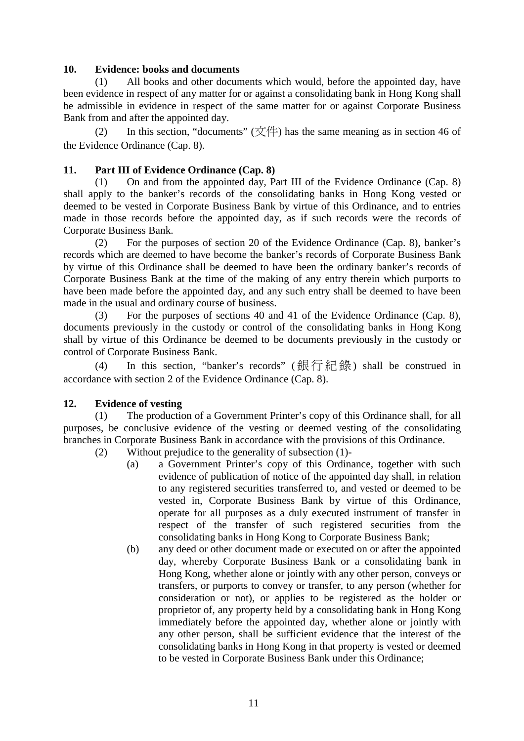#### **10. Evidence: books and documents**

(1) All books and other documents which would, before the appointed day, have been evidence in respect of any matter for or against a consolidating bank in Hong Kong shall be admissible in evidence in respect of the same matter for or against Corporate Business Bank from and after the appointed day.

(2) In this section, "documents"  $(\overrightarrow{\chi})$  has the same meaning as in section 46 of the Evidence Ordinance (Cap. 8).

#### **11. Part III of Evidence Ordinance (Cap. 8)**

(1) On and from the appointed day, Part III of the Evidence Ordinance (Cap. 8) shall apply to the banker's records of the consolidating banks in Hong Kong vested or deemed to be vested in Corporate Business Bank by virtue of this Ordinance, and to entries made in those records before the appointed day, as if such records were the records of Corporate Business Bank.

(2) For the purposes of section 20 of the Evidence Ordinance (Cap. 8), banker's records which are deemed to have become the banker's records of Corporate Business Bank by virtue of this Ordinance shall be deemed to have been the ordinary banker's records of Corporate Business Bank at the time of the making of any entry therein which purports to have been made before the appointed day, and any such entry shall be deemed to have been made in the usual and ordinary course of business.

(3) For the purposes of sections 40 and 41 of the Evidence Ordinance (Cap. 8), documents previously in the custody or control of the consolidating banks in Hong Kong shall by virtue of this Ordinance be deemed to be documents previously in the custody or control of Corporate Business Bank.

(4) In this section, "banker's records" (銀行紀錄) shall be construed in accordance with section 2 of the Evidence Ordinance (Cap. 8).

#### **12. Evidence of vesting**

(1) The production of a Government Printer's copy of this Ordinance shall, for all purposes, be conclusive evidence of the vesting or deemed vesting of the consolidating branches in Corporate Business Bank in accordance with the provisions of this Ordinance.

- (2) Without prejudice to the generality of subsection (1)-
	- (a) a Government Printer's copy of this Ordinance, together with such evidence of publication of notice of the appointed day shall, in relation to any registered securities transferred to, and vested or deemed to be vested in, Corporate Business Bank by virtue of this Ordinance, operate for all purposes as a duly executed instrument of transfer in respect of the transfer of such registered securities from the consolidating banks in Hong Kong to Corporate Business Bank;
	- (b) any deed or other document made or executed on or after the appointed day, whereby Corporate Business Bank or a consolidating bank in Hong Kong, whether alone or jointly with any other person, conveys or transfers, or purports to convey or transfer, to any person (whether for consideration or not), or applies to be registered as the holder or proprietor of, any property held by a consolidating bank in Hong Kong immediately before the appointed day, whether alone or jointly with any other person, shall be sufficient evidence that the interest of the consolidating banks in Hong Kong in that property is vested or deemed to be vested in Corporate Business Bank under this Ordinance;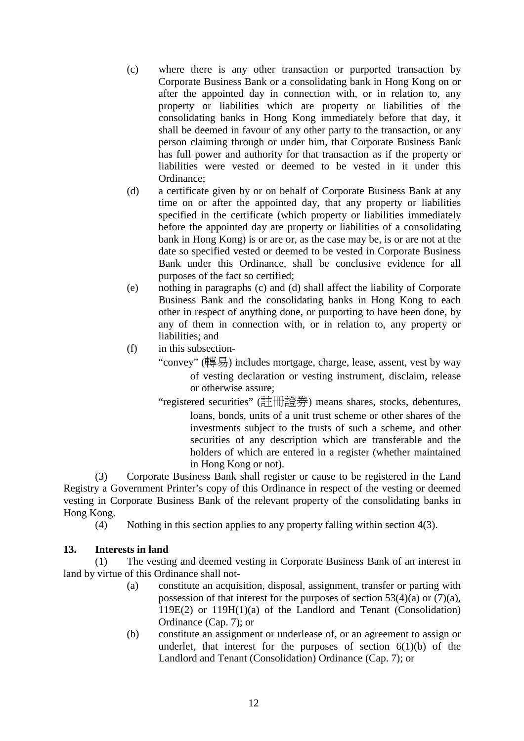- (c) where there is any other transaction or purported transaction by Corporate Business Bank or a consolidating bank in Hong Kong on or after the appointed day in connection with, or in relation to, any property or liabilities which are property or liabilities of the consolidating banks in Hong Kong immediately before that day, it shall be deemed in favour of any other party to the transaction, or any person claiming through or under him, that Corporate Business Bank has full power and authority for that transaction as if the property or liabilities were vested or deemed to be vested in it under this Ordinance;
- (d) a certificate given by or on behalf of Corporate Business Bank at any time on or after the appointed day, that any property or liabilities specified in the certificate (which property or liabilities immediately before the appointed day are property or liabilities of a consolidating bank in Hong Kong) is or are or, as the case may be, is or are not at the date so specified vested or deemed to be vested in Corporate Business Bank under this Ordinance, shall be conclusive evidence for all purposes of the fact so certified;
- (e) nothing in paragraphs (c) and (d) shall affect the liability of Corporate Business Bank and the consolidating banks in Hong Kong to each other in respect of anything done, or purporting to have been done, by any of them in connection with, or in relation to, any property or liabilities; and
- (f) in this subsection-
	- "convey" (轉易) includes mortgage, charge, lease, assent, vest by way of vesting declaration or vesting instrument, disclaim, release or otherwise assure;
	- "registered securities" (註冊證券) means shares, stocks, debentures, loans, bonds, units of a unit trust scheme or other shares of the investments subject to the trusts of such a scheme, and other securities of any description which are transferable and the holders of which are entered in a register (whether maintained in Hong Kong or not).

(3) Corporate Business Bank shall register or cause to be registered in the Land Registry a Government Printer's copy of this Ordinance in respect of the vesting or deemed vesting in Corporate Business Bank of the relevant property of the consolidating banks in Hong Kong.

(4) Nothing in this section applies to any property falling within section 4(3).

# **13. Interests in land**

(1) The vesting and deemed vesting in Corporate Business Bank of an interest in land by virtue of this Ordinance shall not-

- (a) constitute an acquisition, disposal, assignment, transfer or parting with possession of that interest for the purposes of section  $53(4)(a)$  or  $(7)(a)$ , 119E(2) or 119H(1)(a) of the Landlord and Tenant (Consolidation) Ordinance (Cap. 7); or
- (b) constitute an assignment or underlease of, or an agreement to assign or underlet, that interest for the purposes of section  $6(1)(b)$  of the Landlord and Tenant (Consolidation) Ordinance (Cap. 7); or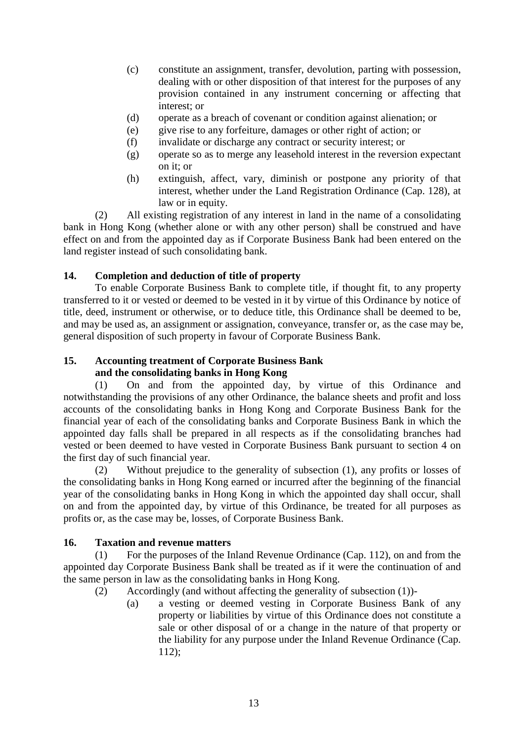- (c) constitute an assignment, transfer, devolution, parting with possession, dealing with or other disposition of that interest for the purposes of any provision contained in any instrument concerning or affecting that interest; or
- (d) operate as a breach of covenant or condition against alienation; or
- (e) give rise to any forfeiture, damages or other right of action; or
- (f) invalidate or discharge any contract or security interest; or
- (g) operate so as to merge any leasehold interest in the reversion expectant on it; or
- (h) extinguish, affect, vary, diminish or postpone any priority of that interest, whether under the Land Registration Ordinance (Cap. 128), at law or in equity.

(2) All existing registration of any interest in land in the name of a consolidating bank in Hong Kong (whether alone or with any other person) shall be construed and have effect on and from the appointed day as if Corporate Business Bank had been entered on the land register instead of such consolidating bank.

# **14. Completion and deduction of title of property**

To enable Corporate Business Bank to complete title, if thought fit, to any property transferred to it or vested or deemed to be vested in it by virtue of this Ordinance by notice of title, deed, instrument or otherwise, or to deduce title, this Ordinance shall be deemed to be, and may be used as, an assignment or assignation, conveyance, transfer or, as the case may be, general disposition of such property in favour of Corporate Business Bank.

# **15. Accounting treatment of Corporate Business Bank and the consolidating banks in Hong Kong**

(1) On and from the appointed day, by virtue of this Ordinance and notwithstanding the provisions of any other Ordinance, the balance sheets and profit and loss accounts of the consolidating banks in Hong Kong and Corporate Business Bank for the financial year of each of the consolidating banks and Corporate Business Bank in which the appointed day falls shall be prepared in all respects as if the consolidating branches had vested or been deemed to have vested in Corporate Business Bank pursuant to section 4 on the first day of such financial year.

(2) Without prejudice to the generality of subsection (1), any profits or losses of the consolidating banks in Hong Kong earned or incurred after the beginning of the financial year of the consolidating banks in Hong Kong in which the appointed day shall occur, shall on and from the appointed day, by virtue of this Ordinance, be treated for all purposes as profits or, as the case may be, losses, of Corporate Business Bank.

# **16. Taxation and revenue matters**

(1) For the purposes of the Inland Revenue Ordinance (Cap. 112), on and from the appointed day Corporate Business Bank shall be treated as if it were the continuation of and the same person in law as the consolidating banks in Hong Kong.

- (2) Accordingly (and without affecting the generality of subsection (1))-
	- (a) a vesting or deemed vesting in Corporate Business Bank of any property or liabilities by virtue of this Ordinance does not constitute a sale or other disposal of or a change in the nature of that property or the liability for any purpose under the Inland Revenue Ordinance (Cap. 112);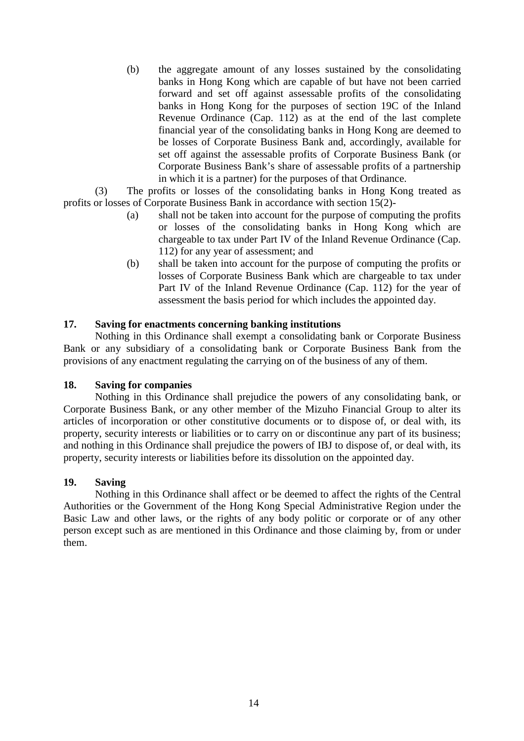(b) the aggregate amount of any losses sustained by the consolidating banks in Hong Kong which are capable of but have not been carried forward and set off against assessable profits of the consolidating banks in Hong Kong for the purposes of section 19C of the Inland Revenue Ordinance (Cap. 112) as at the end of the last complete financial year of the consolidating banks in Hong Kong are deemed to be losses of Corporate Business Bank and, accordingly, available for set off against the assessable profits of Corporate Business Bank (or Corporate Business Bank's share of assessable profits of a partnership in which it is a partner) for the purposes of that Ordinance.

(3) The profits or losses of the consolidating banks in Hong Kong treated as profits or losses of Corporate Business Bank in accordance with section 15(2)-

- (a) shall not be taken into account for the purpose of computing the profits or losses of the consolidating banks in Hong Kong which are chargeable to tax under Part IV of the Inland Revenue Ordinance (Cap. 112) for any year of assessment; and
- (b) shall be taken into account for the purpose of computing the profits or losses of Corporate Business Bank which are chargeable to tax under Part IV of the Inland Revenue Ordinance (Cap. 112) for the year of assessment the basis period for which includes the appointed day.

# **17. Saving for enactments concerning banking institutions**

Nothing in this Ordinance shall exempt a consolidating bank or Corporate Business Bank or any subsidiary of a consolidating bank or Corporate Business Bank from the provisions of any enactment regulating the carrying on of the business of any of them.

# **18. Saving for companies**

Nothing in this Ordinance shall prejudice the powers of any consolidating bank, or Corporate Business Bank, or any other member of the Mizuho Financial Group to alter its articles of incorporation or other constitutive documents or to dispose of, or deal with, its property, security interests or liabilities or to carry on or discontinue any part of its business; and nothing in this Ordinance shall prejudice the powers of IBJ to dispose of, or deal with, its property, security interests or liabilities before its dissolution on the appointed day.

#### **19. Saving**

Nothing in this Ordinance shall affect or be deemed to affect the rights of the Central Authorities or the Government of the Hong Kong Special Administrative Region under the Basic Law and other laws, or the rights of any body politic or corporate or of any other person except such as are mentioned in this Ordinance and those claiming by, from or under them.